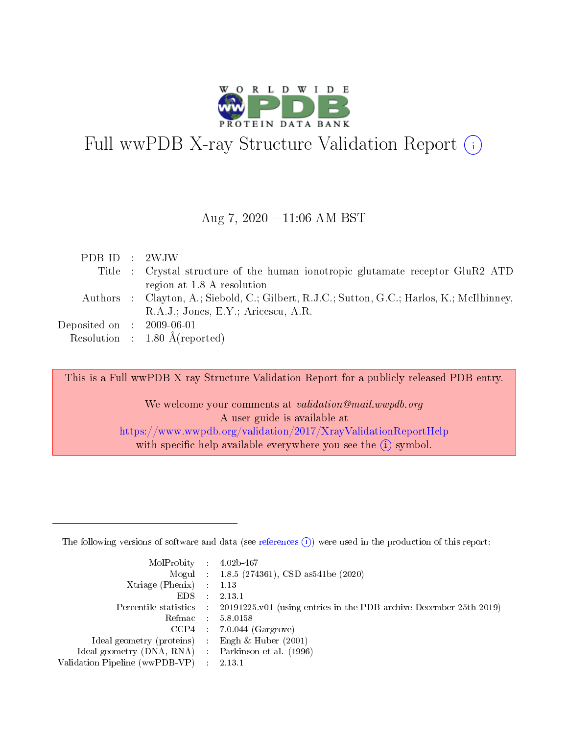

# Full wwPDB X-ray Structure Validation Report (i)

#### Aug 7,  $2020 - 11:06$  AM BST

| PDBID : 2WJW                         |                                                                                            |
|--------------------------------------|--------------------------------------------------------------------------------------------|
|                                      | Title : Crystal structure of the human ionotropic glutamate receptor GluR2 ATD             |
|                                      | region at 1.8 A resolution                                                                 |
|                                      | Authors : Clayton, A.; Siebold, C.; Gilbert, R.J.C.; Sutton, G.C.; Harlos, K.; McIlhinney, |
|                                      | $R.A.J.:$ Jones, $E.Y.:$ Aricescu, $A.R.$                                                  |
| Deposited on $\therefore$ 2009-06-01 |                                                                                            |
|                                      | Resolution : $1.80 \text{ Å}$ (reported)                                                   |

This is a Full wwPDB X-ray Structure Validation Report for a publicly released PDB entry.

We welcome your comments at validation@mail.wwpdb.org A user guide is available at <https://www.wwpdb.org/validation/2017/XrayValidationReportHelp> with specific help available everywhere you see the  $(i)$  symbol.

The following versions of software and data (see [references](https://www.wwpdb.org/validation/2017/XrayValidationReportHelp#references)  $(1)$ ) were used in the production of this report:

| $MolProbability$ : 4.02b-467                      |                             |                                                                                            |
|---------------------------------------------------|-----------------------------|--------------------------------------------------------------------------------------------|
|                                                   |                             | Mogul : $1.8.5$ (274361), CSD as 541be (2020)                                              |
| Xtriage (Phenix) $: 1.13$                         |                             |                                                                                            |
| EDS.                                              | $\mathcal{L}$               | 2.13.1                                                                                     |
|                                                   |                             | Percentile statistics : 20191225.v01 (using entries in the PDB archive December 25th 2019) |
| Refmac : 5.8.0158                                 |                             |                                                                                            |
|                                                   |                             | $CCP4$ 7.0.044 (Gargrove)                                                                  |
| Ideal geometry (proteins)                         | $\mathcal{L}_{\mathcal{L}}$ | Engh $\&$ Huber (2001)                                                                     |
| Ideal geometry (DNA, RNA) Parkinson et al. (1996) |                             |                                                                                            |
| Validation Pipeline (wwPDB-VP) : 2.13.1           |                             |                                                                                            |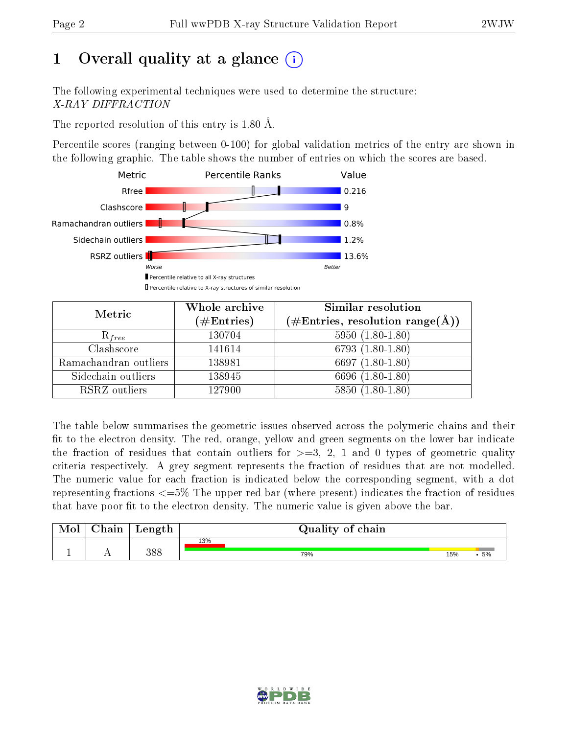# 1 [O](https://www.wwpdb.org/validation/2017/XrayValidationReportHelp#overall_quality)verall quality at a glance  $(i)$

The following experimental techniques were used to determine the structure: X-RAY DIFFRACTION

The reported resolution of this entry is 1.80 Å.

Percentile scores (ranging between 0-100) for global validation metrics of the entry are shown in the following graphic. The table shows the number of entries on which the scores are based.



| Metric                | Whole archive        | Similar resolution                                                        |
|-----------------------|----------------------|---------------------------------------------------------------------------|
|                       | $(\#\text{Entries})$ | $(\#\text{Entries},\,\text{resolution}\,\,\text{range}(\textup{\AA})\, )$ |
| $R_{free}$            | 130704               | $5950(1.80-1.80)$                                                         |
| Clashscore            | 141614               | $6793(1.80-1.80)$                                                         |
| Ramachandran outliers | 138981               | 6697 $(1.80-1.80)$                                                        |
| Sidechain outliers    | 138945               | 6696 (1.80-1.80)                                                          |
| RSRZ outliers         | 127900               | $5850(1.80-1.80)$                                                         |

The table below summarises the geometric issues observed across the polymeric chains and their fit to the electron density. The red, orange, yellow and green segments on the lower bar indicate the fraction of residues that contain outliers for  $>=3, 2, 1$  and 0 types of geometric quality criteria respectively. A grey segment represents the fraction of residues that are not modelled. The numeric value for each fraction is indicated below the corresponding segment, with a dot representing fractions  $\epsilon=5\%$  The upper red bar (where present) indicates the fraction of residues that have poor fit to the electron density. The numeric value is given above the bar.

| Mol       | $\alpha$ hain | Length | Quality of chain |     |    |
|-----------|---------------|--------|------------------|-----|----|
|           |               |        | 13%              |     |    |
| <u>д.</u> | . .           | 388    | 79%              | 15% | 5% |

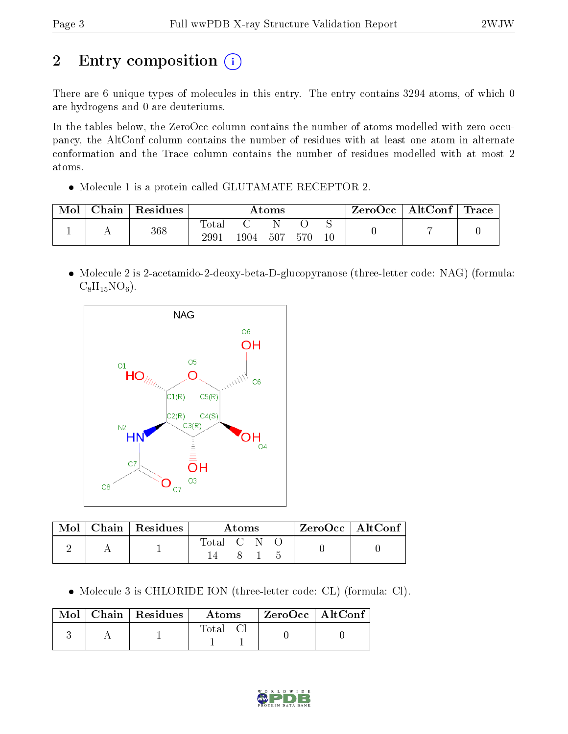# 2 Entry composition (i)

There are 6 unique types of molecules in this entry. The entry contains 3294 atoms, of which 0 are hydrogens and 0 are deuteriums.

In the tables below, the ZeroOcc column contains the number of atoms modelled with zero occupancy, the AltConf column contains the number of residues with at least one atom in alternate conformation and the Trace column contains the number of residues modelled with at most 2 atoms.

Molecule 1 is a protein called GLUTAMATE RECEPTOR 2.

| Mol | Chain | Residues | Atoms         |       |     | ZeroOcc | $\mid$ AltConf $\mid$ Trace |  |  |  |
|-----|-------|----------|---------------|-------|-----|---------|-----------------------------|--|--|--|
|     |       | 368      | Total<br>2991 | 1904. | 507 | 570     | $10\,$                      |  |  |  |

 Molecule 2 is 2-acetamido-2-deoxy-beta-D-glucopyranose (three-letter code: NAG) (formula:  $C_8H_{15}NO_6$ ).



|  | $\text{Mol}$   Chain   Residues | A toms    |  |  | └ ZeroOcc   AltConf |  |
|--|---------------------------------|-----------|--|--|---------------------|--|
|  |                                 | Total C N |  |  |                     |  |

Molecule 3 is CHLORIDE ION (three-letter code: CL) (formula: Cl).

|  | $\text{Mol}$   Chain   Residues | <b>Atoms</b> | ZeroOcc   AltConf |  |
|--|---------------------------------|--------------|-------------------|--|
|  |                                 | Total        |                   |  |

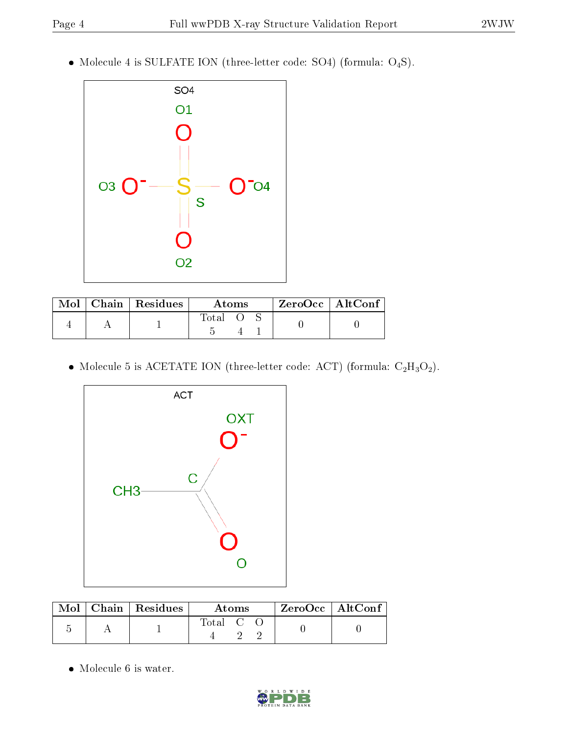$\bullet$  Molecule 4 is SULFATE ION (three-letter code: SO4) (formula:  $\mathrm{O}_4\mathrm{S}) .$ 



| Mol | $Chain$ Residues | Atoms |  |  | $ZeroOcc$   AltConf |  |
|-----|------------------|-------|--|--|---------------------|--|
|     |                  | Total |  |  |                     |  |

• Molecule 5 is ACETATE ION (three-letter code: ACT) (formula:  $C_2H_3O_2$ ).



|  | $\text{Mol}$   Chain   Residues | Atoms                                                    | $ZeroOcc$   AltConf |
|--|---------------------------------|----------------------------------------------------------|---------------------|
|  |                                 | $\begin{array}{ccc} \text{Total} & \text{C} \end{array}$ |                     |

 $\bullet\,$  Molecule 6 is water.

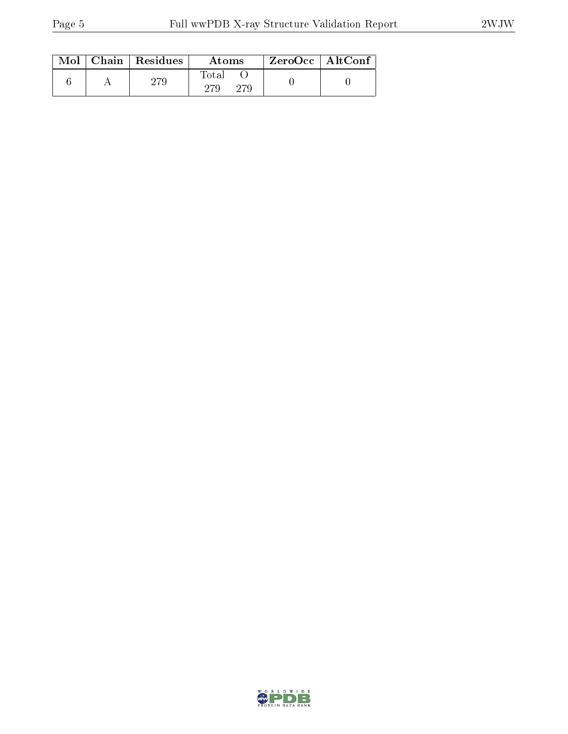|  | $Mol$   Chain   Residues | Atoms               | $ZeroOcc \   \ AltConf$ |  |
|--|--------------------------|---------------------|-------------------------|--|
|  | 279                      | Total<br>279<br>279 |                         |  |

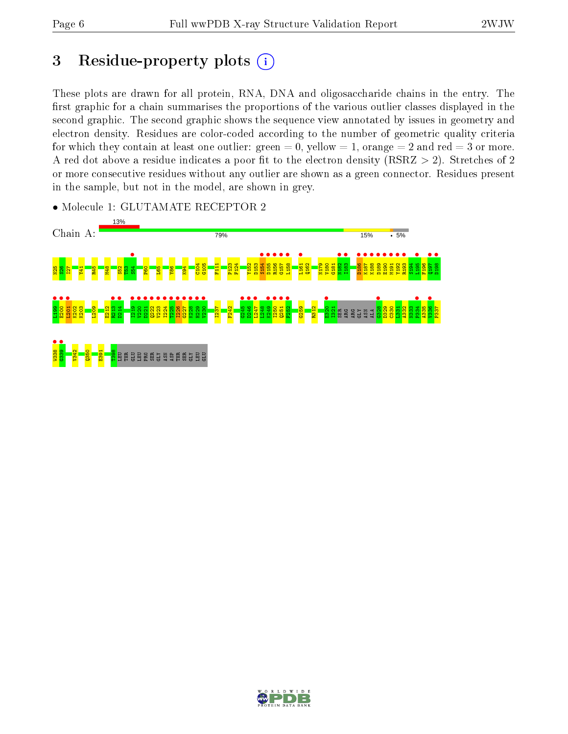## 3 Residue-property plots  $(i)$

These plots are drawn for all protein, RNA, DNA and oligosaccharide chains in the entry. The first graphic for a chain summarises the proportions of the various outlier classes displayed in the second graphic. The second graphic shows the sequence view annotated by issues in geometry and electron density. Residues are color-coded according to the number of geometric quality criteria for which they contain at least one outlier: green  $= 0$ , yellow  $= 1$ , orange  $= 2$  and red  $= 3$  or more. A red dot above a residue indicates a poor fit to the electron density ( $RSRZ > 2$ ). Stretches of 2 or more consecutive residues without any outlier are shown as a green connector. Residues present in the sample, but not in the model, are shown in grey.



• Molecule 1: GLUTAMATE RECEPTOR 2

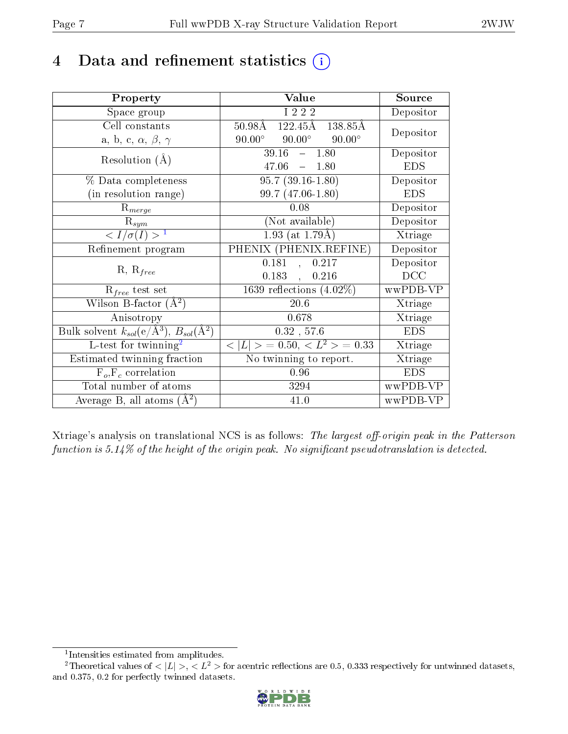## 4 Data and refinement statistics  $(i)$

| Property                                                             | Value                                              | Source                       |
|----------------------------------------------------------------------|----------------------------------------------------|------------------------------|
| Space group                                                          | I 2 2 2                                            | Depositor                    |
| Cell constants                                                       | $122.45\text{\AA}$<br>$50.98\text{\AA}$<br>138.85Å | Depositor                    |
| a, b, c, $\alpha$ , $\beta$ , $\gamma$                               | $90.00^\circ$<br>$90.00^{\circ}$ $90.00^{\circ}$   |                              |
| Resolution $(A)$                                                     | 39.16<br>$-1.80$                                   | Depositor                    |
|                                                                      | 47.06<br>$-1.80$                                   | <b>EDS</b>                   |
| % Data completeness                                                  | $\overline{95.7}$ (39.16-1.80)                     | Depositor                    |
| (in resolution range)                                                | 99.7 (47.06-1.80)                                  | <b>EDS</b>                   |
| $R_{merge}$                                                          | 0.08                                               | Depositor                    |
| $\mathrm{R}_{sym}$                                                   | (Not available)                                    | Depositor                    |
| $\sqrt{I/\sigma}(I) > 1$                                             | $1.93$ (at 1.79Å)                                  | Xtriage                      |
| Refinement program                                                   | PHENIX (PHENIX.REFINE)                             | Depositor                    |
|                                                                      | 0.181<br>0.217<br>$\mathcal{L}^{\mathcal{L}}$      | Depositor                    |
| $R, R_{free}$                                                        | 0.183,<br>0.216                                    | DCC                          |
| $R_{free}$ test set                                                  | $\overline{1639}$ reflections $(4.02\%)$           | wwPDB-VP                     |
| Wilson B-factor $(A^2)$                                              | $20.6\,$                                           | Xtriage                      |
| Anisotropy                                                           | 0.678                                              | Xtriage                      |
| Bulk solvent $k_{sol}(e/\mathring{A}^3)$ , $B_{sol}(\mathring{A}^2)$ | $0.32$ , 57.6                                      | <b>EDS</b>                   |
| $L$ -test for twinning <sup>2</sup>                                  | $< L >$ = 0.50, $< L2$ > = 0.33                    | Xtriage                      |
| Estimated twinning fraction                                          | No twinning to report.                             | $\overline{\text{X}}$ triage |
| $F_o, F_c$ correlation                                               | 0.96                                               | <b>EDS</b>                   |
| Total number of atoms                                                | 3294                                               | wwPDB-VP                     |
| Average B, all atoms $(A^2)$                                         | 41.0                                               | wwPDB-VP                     |

Xtriage's analysis on translational NCS is as follows: The largest off-origin peak in the Patterson function is  $5.14\%$  of the height of the origin peak. No significant pseudotranslation is detected.

<sup>&</sup>lt;sup>2</sup>Theoretical values of  $\langle |L| \rangle$ ,  $\langle L^2 \rangle$  for acentric reflections are 0.5, 0.333 respectively for untwinned datasets, and 0.375, 0.2 for perfectly twinned datasets.



<span id="page-6-1"></span><span id="page-6-0"></span><sup>1</sup> Intensities estimated from amplitudes.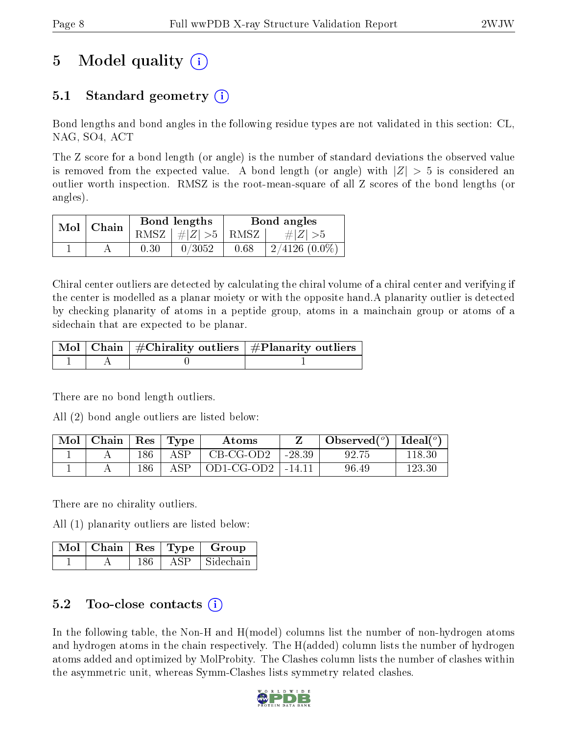## 5 Model quality  $(i)$

### 5.1 Standard geometry (i)

Bond lengths and bond angles in the following residue types are not validated in this section: CL, NAG, SO4, ACT

The Z score for a bond length (or angle) is the number of standard deviations the observed value is removed from the expected value. A bond length (or angle) with  $|Z| > 5$  is considered an outlier worth inspection. RMSZ is the root-mean-square of all Z scores of the bond lengths (or angles).

| $Mol$   Chain |      | Bond lengths                            | Bond angles |                    |  |
|---------------|------|-----------------------------------------|-------------|--------------------|--|
|               |      | RMSZ $\mid \#  Z  > 5 \mid$ RMSZ $\mid$ |             | $\# Z  > 5$        |  |
|               | 0.30 | 0/3052                                  | 0.68        | $2/4126$ $(0.0\%)$ |  |

Chiral center outliers are detected by calculating the chiral volume of a chiral center and verifying if the center is modelled as a planar moiety or with the opposite hand.A planarity outlier is detected by checking planarity of atoms in a peptide group, atoms in a mainchain group or atoms of a sidechain that are expected to be planar.

|  | $\mid$ Mol $\mid$ Chain $\mid$ #Chirality outliers $\mid$ #Planarity outliers $\mid$ |
|--|--------------------------------------------------------------------------------------|
|  |                                                                                      |

There are no bond length outliers.

All (2) bond angle outliers are listed below:

| Mol | Chain | $\operatorname{Res}$ | Type | Atoms        |          | Observed $(°)$ | Ideal $(^\circ)$ |
|-----|-------|----------------------|------|--------------|----------|----------------|------------------|
|     |       | 186                  | A SP | $CB-CG-OD2$  | $-28.39$ |                | 118.30           |
|     |       | 186                  | A CD | $OD1-CG-OD2$ | -14.11   | 96.49          | 123 30           |

There are no chirality outliers.

All (1) planarity outliers are listed below:

|  |     |      | $\lceil$ Mol $\mid$ Chain $\mid$ Res $\mid$ Type $\mid$ Group |
|--|-----|------|---------------------------------------------------------------|
|  | 186 | ASP. | Sidechain                                                     |

### 5.2 Too-close contacts (i)

In the following table, the Non-H and H(model) columns list the number of non-hydrogen atoms and hydrogen atoms in the chain respectively. The H(added) column lists the number of hydrogen atoms added and optimized by MolProbity. The Clashes column lists the number of clashes within the asymmetric unit, whereas Symm-Clashes lists symmetry related clashes.

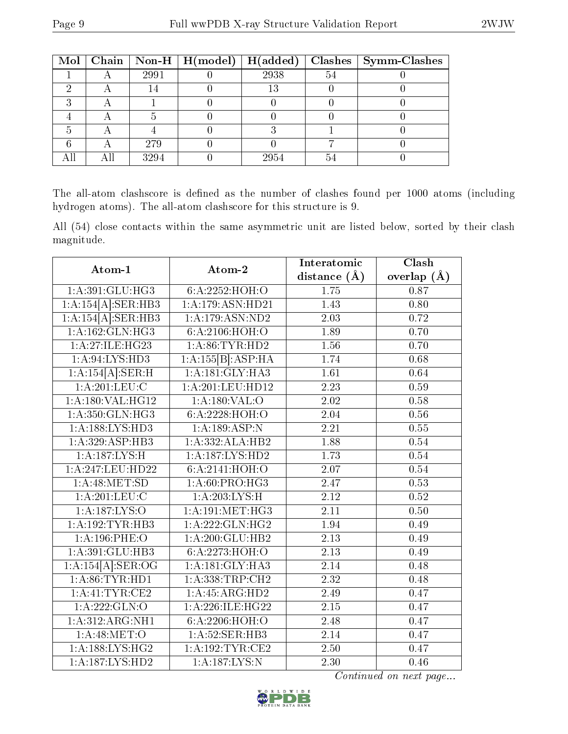|  |      | Mol   Chain   Non-H   H(model)   H(added) |      |     | $Class   Symm-Class$ |
|--|------|-------------------------------------------|------|-----|----------------------|
|  | 2991 |                                           | 2938 | 54  |                      |
|  |      |                                           | 13   |     |                      |
|  |      |                                           |      |     |                      |
|  |      |                                           |      |     |                      |
|  |      |                                           |      |     |                      |
|  | 279  |                                           |      |     |                      |
|  | 3294 |                                           | 2954 | .5∠ |                      |

The all-atom clashscore is defined as the number of clashes found per 1000 atoms (including hydrogen atoms). The all-atom clashscore for this structure is 9.

All (54) close contacts within the same asymmetric unit are listed below, sorted by their clash magnitude.

| Atom-1                               | Atom-2              | Interatomic      | Clash         |  |
|--------------------------------------|---------------------|------------------|---------------|--|
|                                      |                     | distance $(\AA)$ | overlap $(A)$ |  |
| 1:A:391:GLU:HG3                      | 6:A:2252:HOH:O      | 1.75             | 0.87          |  |
| 1:A:154[A]:SER:HB3                   | 1:A:179:ASN:HD21    | 1.43             | 0.80          |  |
| 1:A:154[A]:SER:HB3                   | 1:A:179:ASN:ND2     | 2.03             | 0.72          |  |
| 1: A:162: GLN: HG3                   | 6:A:2106:HOH:O      | 1.89             | 0.70          |  |
| 1:A:27:ILE:HG23                      | 1: A:86: TYR: HD2   | 1.56             | 0.70          |  |
| 1: A:94: LYS: HD3                    | 1:A:155[B]:ASP:HA   | 1.74             | 0.68          |  |
| $1:\overline{A:154[A]:\text{SER}:H}$ | 1: A:181: GLY: HA3  | 1.61             | 0.64          |  |
| 1: A:201:LEU:C                       | 1:A:201:LEU:HD12    | 2.23             | 0.59          |  |
| 1:A:180:VAL:HG12                     | 1:A:180:VAL:O       | 2.02             | 0.58          |  |
| 1:A:350:GLN:HG3                      | 6:A:2228:HOH:O      | 2.04             | 0.56          |  |
| 1: A: 188: LYS: HD3                  | 1:A:189:ASP:N       | 2.21             | 0.55          |  |
| 1:A:329:ASP:HB3                      | 1:A:332:ALA:HB2     | 1.88             | 0.54          |  |
| 1:A:187:LYS:H                        | 1:A:187:LYS:HD2     | 1.73             | 0.54          |  |
| 1:A:247:LEU:HD22                     | 6:A:2141:HOH:O      | 2.07             | 0.54          |  |
| 1: A:48: MET:SD                      | 1:A:60:PRO:HG3      | 2.47             | 0.53          |  |
| 1: A:201:LEU:C                       | 1: A:203:LYS:H      | 2.12             | 0.52          |  |
| 1:A:187:LYS:O                        | 1: A:191:MET:HG3    | 2.11             | 0.50          |  |
| 1:A:192:TYR:HB3                      | 1:A:222:GLN:HG2     | 1.94             | 0.49          |  |
| 1: A:196:PHE:O                       | 1:A:200:GLU:HB2     | 2.13             | 0.49          |  |
| 1:A:391:GLU:HB3                      | 6:A:2273:HOH:O      | 2.13             | 0.49          |  |
| 1:A:154[A].SER:OG                    | 1:A:181:GLY:HA3     | 2.14             | 0.48          |  |
| 1: A:86: TYR: HD1                    | 1: A: 338: TRP: CH2 | 2.32             | 0.48          |  |
| 1: A:41:TYR:CE2                      | 1:A:45:ARG:HD2      | 2.49             | 0.47          |  |
| 1:A:222:GLN:O                        | 1:A:226:ILE:HG22    | 2.15             | 0.47          |  |
| 1:A:312:ARG:NH1                      | 6:A:2206:HOH:O      | 2.48             | 0.47          |  |
| 1: A:48: MET:O                       | 1:A:52:SER:HB3      | 2.14             | 0.47          |  |
| 1: A: 188: LYS: HG2                  | 1: A: 192: TYR: CE2 | 2.50             | 0.47          |  |
| 1: A: 187: LYS: HD2                  | $1:$ A:187:LYS:N    | 2.30             | 0.46          |  |

Continued on next page...

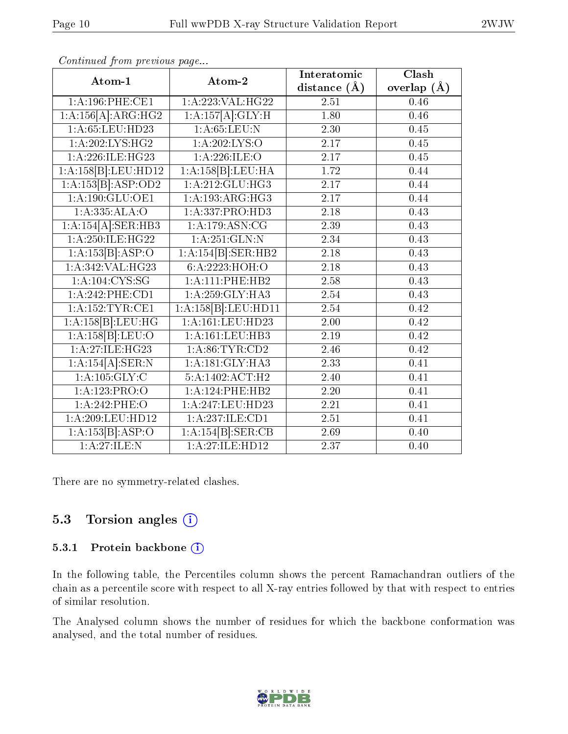| Atom-1              | Atom-2                       | Interatomic       | Clash         |  |
|---------------------|------------------------------|-------------------|---------------|--|
|                     |                              | distance $(\AA)$  | overlap $(A)$ |  |
| 1: A:196:PHE:CE1    | 1: A:223: VAL:HG22           | 2.51              | 0.46          |  |
| 1:A:156[A]:ARG:HG2  | 1:A:157[A]:GLY:H             | $\overline{1.80}$ | 0.46          |  |
| 1:A:65:LEU:HD23     | 1: A:65:LEU: N               | 2.30              | $0.45\,$      |  |
| 1: A:202:LYS:HG2    | 1: A:202:LYS:O               | 2.17              | 0.45          |  |
| 1:A:226:ILE:HG23    | 1:A:226:ILE:O                | 2.17              | 0.45          |  |
| 1:A:158[B]:LEU:HD12 | 1:A:158[B]:LEU:HA            | 1.72              | 0.44          |  |
| 1:A:153[B]:ASP:OD2  | $1:A:212:GLU:H$ G3           | 2.17              | 0.44          |  |
| 1: A:190: GLU:OE1   | 1: A:193:ARG:HG3             | 2.17              | 0.44          |  |
| 1:A:335:ALA:O       | 1: A: 337: PRO: HD3          | 2.18              | 0.43          |  |
| 1:A:154[A]:SER:HB3  | 1:A:179:ASN:CG               | 2.39              | 0.43          |  |
| 1: A:250: ILE: HG22 | 1:A:251:GLN:N                | 2.34              | 0.43          |  |
| 1:A:153[B]:ASP:O    | 1:A:154[B]:SER:HB2           | 2.18              | 0.43          |  |
| 1:A:342:VAL:HG23    | 6:A:2223:HOH:O               | 2.18              | 0.43          |  |
| 1: A: 104: CYS: SG  | 1:A:111:PHE:HB2              | 2.58              | 0.43          |  |
| 1:A:242:PHE:CD1     | 1:A:259:GLY:HA3              | 2.54              | 0.43          |  |
| 1: A: 152: TYR: CE1 | 1:A:158[B]:LEU:HD11          | 2.54              | 0.42          |  |
| 1:A:158[B]:LEU:HG   | 1:A:161:LEU:HD23             | $\overline{2.00}$ | 0.42          |  |
| 1:A:158[B]:LEU:O    | 1:A:161:LEU:HB3              | 2.19              | 0.42          |  |
| 1:A:27:ILE:HG23     | 1: A:86:TYR:CD2              | 2.46              | 0.42          |  |
| 1:A:154[A].SER:N    | 1:A:181:GLY:HA3              | 2.33              | 0.41          |  |
| 1: A: 105: GLY: C   | 5:A:1402:ACT:H2              | 2.40              | 0.41          |  |
| 1:A:123:PRO:O       | 1:A:124:PHE:HB2              | 2.20              | 0.41          |  |
| 1:A:242:PHE:O       | 1:A:247:LEU:HD23             | 2.21              | 0.41          |  |
| 1:A:209:LEU:HD12    | $1:A:23\overline{7:1LE:CD1}$ | 2.51              | 0.41          |  |
| 1:A:153[B]:ASP:O    | 1:A:154[B]:SER:CB            | 2.69              | 0.40          |  |
| 1:A:27:ILE:N        | 1:A:27:ILE:HD12              | 2.37              | 0.40          |  |

Continued from previous page...

There are no symmetry-related clashes.

### 5.3 Torsion angles (i)

#### 5.3.1 Protein backbone (i)

In the following table, the Percentiles column shows the percent Ramachandran outliers of the chain as a percentile score with respect to all X-ray entries followed by that with respect to entries of similar resolution.

The Analysed column shows the number of residues for which the backbone conformation was analysed, and the total number of residues.

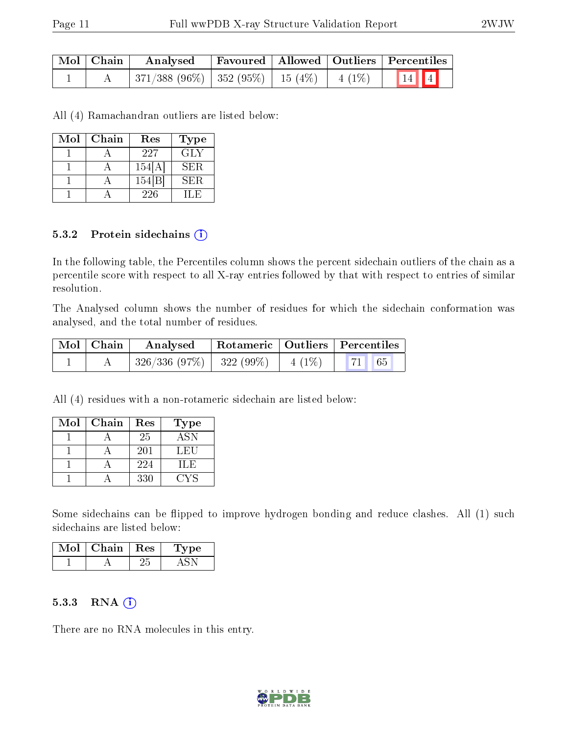| $\mid$ Mol $\mid$ Chain $\mid$ | Analysed                                     |  | Favoured   Allowed   Outliers   Percentiles               |
|--------------------------------|----------------------------------------------|--|-----------------------------------------------------------|
|                                | 371/388 (96%)   352 (95%)   15 (4%)   4 (1%) |  | $\begin{array}{ c c c c }\n\hline\n& 14 & 4\n\end{array}$ |

All (4) Ramachandran outliers are listed below:

| Mol | Chain | Res    | <b>Type</b> |
|-----|-------|--------|-------------|
|     |       | 227    | <b>GLY</b>  |
|     |       | 154[A] | SER.        |
|     |       | 154 B  | SER.        |
|     |       | 226    |             |

#### 5.3.2 Protein sidechains  $(i)$

In the following table, the Percentiles column shows the percent sidechain outliers of the chain as a percentile score with respect to all X-ray entries followed by that with respect to entries of similar resolution.

The Analysed column shows the number of residues for which the sidechain conformation was analysed, and the total number of residues.

| $\mid$ Mol $\mid$ Chain $\mid$ | Analysed                                                         | Rotameric   Outliers   Percentiles |  |  |  |
|--------------------------------|------------------------------------------------------------------|------------------------------------|--|--|--|
|                                | $\mid$ 326/336 (97%) $\mid$ 322 (99%) $\mid$ 4 (1%) $\mid$ 71 65 |                                    |  |  |  |

All (4) residues with a non-rotameric sidechain are listed below:

| Mol | Chain | Res | Type       |
|-----|-------|-----|------------|
|     |       | 25  | <b>ASN</b> |
|     |       | 201 | LEU        |
|     |       | 224 | H.E        |
|     |       | 330 |            |

Some sidechains can be flipped to improve hydrogen bonding and reduce clashes. All (1) such sidechains are listed below:

| Chain | <b>Res</b> | ٦e |
|-------|------------|----|
|       |            |    |

#### 5.3.3 RNA (i)

There are no RNA molecules in this entry.

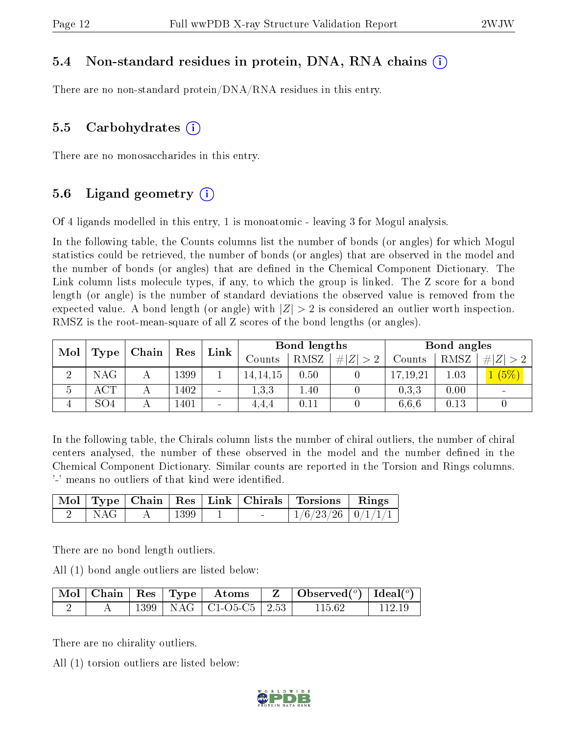### 5.4 Non-standard residues in protein, DNA, RNA chains (i)

There are no non-standard protein/DNA/RNA residues in this entry.

### 5.5 Carbohydrates (i)

There are no monosaccharides in this entry.

### 5.6 Ligand geometry  $(i)$

Of 4 ligands modelled in this entry, 1 is monoatomic - leaving 3 for Mogul analysis.

In the following table, the Counts columns list the number of bonds (or angles) for which Mogul statistics could be retrieved, the number of bonds (or angles) that are observed in the model and the number of bonds (or angles) that are dened in the Chemical Component Dictionary. The Link column lists molecule types, if any, to which the group is linked. The Z score for a bond length (or angle) is the number of standard deviations the observed value is removed from the expected value. A bond length (or angle) with  $|Z| > 2$  is considered an outlier worth inspection. RMSZ is the root-mean-square of all Z scores of the bond lengths (or angles).

| Mol |                 | Chain | Res  |                 | Link     |            | Bond lengths |          |             | Bond angles              |  |  |
|-----|-----------------|-------|------|-----------------|----------|------------|--------------|----------|-------------|--------------------------|--|--|
|     | Type            |       |      | Counts          | RMSZ     | # Z <br>>2 | Counts       | RMSZ     | # $ Z  > 2$ |                          |  |  |
| ച   | $\rm NAG$       |       | 1399 |                 | 14,14,15 | 0.50       |              | 17,19,21 | 1.03        | $(5\%)$                  |  |  |
| b   | ACT             |       | 1402 | $\qquad \qquad$ | 1,3,3    | 1.40       |              | 0,3,3    | 0.00        | $\overline{\phantom{a}}$ |  |  |
|     | SO <sub>4</sub> |       | 1401 |                 | 4.4.4    | 0.11       |              | 6.6.6    | 0.13        |                          |  |  |

In the following table, the Chirals column lists the number of chiral outliers, the number of chiral centers analysed, the number of these observed in the model and the number defined in the Chemical Component Dictionary. Similar counts are reported in the Torsion and Rings columns. '-' means no outliers of that kind were identified.

|       |      |  | Mol   Type   Chain   Res   Link   Chirals   Torsions   Rings |  |
|-------|------|--|--------------------------------------------------------------|--|
| ' NAG | 1399 |  | $1/6/23/26$   $0/1/1/1$                                      |  |

There are no bond length outliers.

All (1) bond angle outliers are listed below:

|  |  |                              | $\mid$ Mol $\mid$ Chain $\mid$ Res $\mid$ Type $\mid$ Atoms $\mid$ Z $\mid$ Observed( $\mid$ ) $\mid$ Ideal( $\mid$ ) |          |
|--|--|------------------------------|-----------------------------------------------------------------------------------------------------------------------|----------|
|  |  | 1399   NAG   C1-O5-C5   2.53 | -115.62                                                                                                               | - 112.19 |

There are no chirality outliers.

All (1) torsion outliers are listed below:

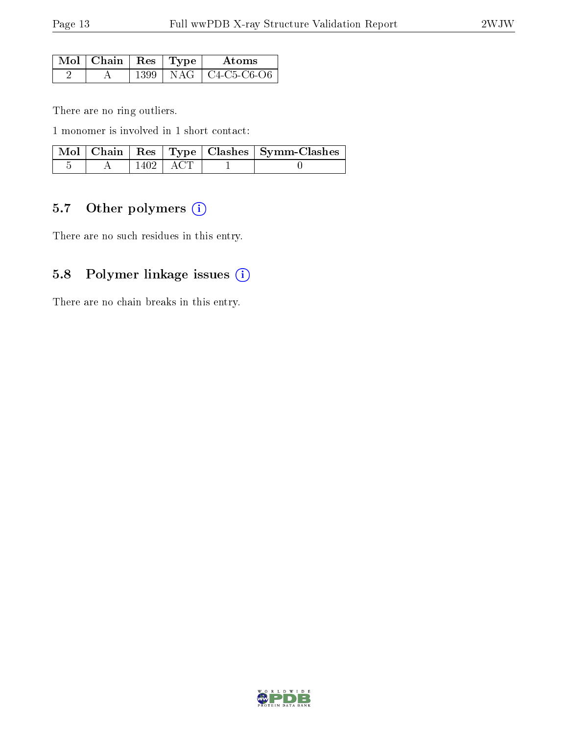| $\overline{\text{M}}$ ol   Chain   Res   Type ' |      |               | Atoms             |
|-------------------------------------------------|------|---------------|-------------------|
|                                                 | 1399 | $^+$ NAG $^-$ | $\pm$ C4-C5-C6-O6 |

There are no ring outliers.

1 monomer is involved in 1 short contact:

|  |      |       | Mol   Chain   Res   Type   Clashes   Symm-Clashes |
|--|------|-------|---------------------------------------------------|
|  | 1402 | . ACT |                                                   |

### 5.7 [O](https://www.wwpdb.org/validation/2017/XrayValidationReportHelp#nonstandard_residues_and_ligands)ther polymers (i)

There are no such residues in this entry.

### 5.8 Polymer linkage issues (i)

There are no chain breaks in this entry.

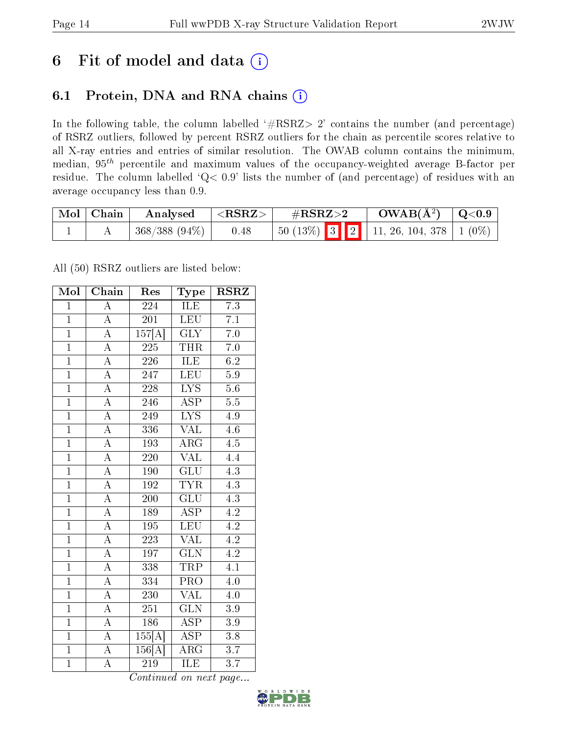## 6 Fit of model and data  $(i)$

## 6.1 Protein, DNA and RNA chains  $(i)$

In the following table, the column labelled  $#RSRZ> 2'$  contains the number (and percentage) of RSRZ outliers, followed by percent RSRZ outliers for the chain as percentile scores relative to all X-ray entries and entries of similar resolution. The OWAB column contains the minimum, median,  $95<sup>th</sup>$  percentile and maximum values of the occupancy-weighted average B-factor per residue. The column labelled ' $Q< 0.9$ ' lists the number of (and percentage) of residues with an average occupancy less than 0.9.

| $\mid$ Mol $\mid$ Chain | Analysed        | $^+$ <rsrz></rsrz> | $\rm \#RSRZ{>}2$                                                                                    | $\rm{OWAB}(\rm{\AA}^2)$   Q<0.9 |  |
|-------------------------|-----------------|--------------------|-----------------------------------------------------------------------------------------------------|---------------------------------|--|
|                         | $368/388(94\%)$ | 0.48               | $\begin{array}{ c c c c c c c c } \hline 50 & 13 & 3 & 2 & 11, 26, 104, 378 & 1 \hline \end{array}$ |                                 |  |

All (50) RSRZ outliers are listed below:

| Mol            | Chain              | Res              | Type                            | $\text{RSR}{}$   |
|----------------|--------------------|------------------|---------------------------------|------------------|
| $\mathbf{1}$   | $\overline{A}$     | 224              | ILE                             | 7.3              |
| $\mathbf{1}$   | $\overline{\rm A}$ | 201              | <b>LEU</b>                      | 7.1              |
| $\overline{1}$ | $\overline{A}$     | 157[A]           | $\overline{\text{GLY}}$         | $\overline{7.0}$ |
| $\overline{1}$ | $\overline{\rm A}$ | 225              | <b>THR</b>                      | $7.0\,$          |
| $\overline{1}$ | $\overline{\rm A}$ | $\overline{226}$ | <b>ILE</b>                      | $\overline{6.2}$ |
| $\overline{1}$ | $\overline{\rm A}$ | 247              | LEU                             | $\overline{5.9}$ |
| $\overline{1}$ | $\overline{A}$     | 228              | $\overline{\text{L} \text{YS}}$ | $5.6\,$          |
| $\overline{1}$ | $\overline{A}$     | 246              | $\overline{\text{ASP}}$         | $5.5\,$          |
| $\mathbf{1}$   | $\overline{A}$     | 249              | $\overline{\text{LYS}}$         | 4.9              |
| $\overline{1}$ | $\overline{\rm A}$ | 336              | $\overline{\text{VAL}}$         | 4.6              |
| $\overline{1}$ | $\overline{A}$     | 193              | ARG                             | 4.5              |
| $\overline{1}$ | $\overline{\rm A}$ | $\overline{220}$ | $\overline{\text{VAL}}$         | $\overline{4.4}$ |
| $\overline{1}$ | $\overline{\rm A}$ | 190              | <b>GLU</b>                      | 4.3              |
| $\overline{1}$ | $\overline{\rm A}$ | 192              | <b>TYR</b>                      | $\overline{4.3}$ |
| $\overline{1}$ | $\overline{A}$     | <b>200</b>       | $\overline{\text{GLU}}$         | $\overline{4.3}$ |
| $\overline{1}$ | $\overline{A}$     | 189              | ASP                             | 4.2              |
| $\overline{1}$ | $\overline{A}$     | 195              | LEU                             | $\overline{4.2}$ |
| $\overline{1}$ | $\overline{A}$     | 223              | <b>VAL</b>                      | $\overline{4.2}$ |
| $\overline{1}$ | $\overline{A}$     | 197              | GLN                             | 4.2              |
| $\overline{1}$ | $\overline{A}$     | 338              | <b>TRP</b>                      | $\overline{4.1}$ |
| $\overline{1}$ | $\overline{\rm A}$ | 334              | PRO                             | 4.0              |
| $\mathbf{1}$   | $\overline{A}$     | 230              | <b>VAL</b>                      | 4.0              |
| $\overline{1}$ | $\overline{\rm A}$ | 251              | <b>GLN</b>                      | 3.9              |
| $\overline{1}$ | $\overline{A}$     | 186              | $\overline{\text{ASP}}$         | $3.9\,$          |
| $\overline{1}$ | $\overline{A}$     | 155[A]           | $\overline{\text{ASP}}$         | 3.8              |
| $\overline{1}$ | $\overline{\rm A}$ | 156[A]           | $\rm{ARG}$                      | 3.7              |
| $\overline{1}$ | $\overline{\rm A}$ | 219              | ILE                             | $\overline{3.7}$ |

Continued on next page...

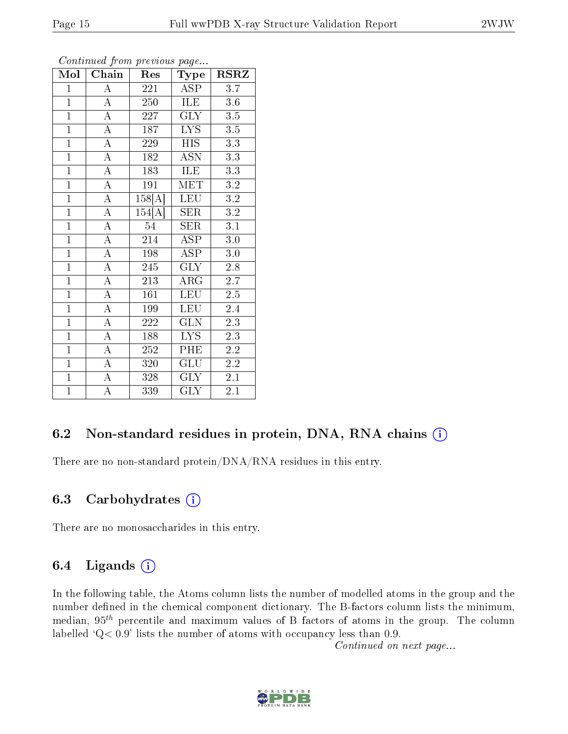| $\overline{\text{Mol}}$ | Chain              | Res              | Type                    | <b>RSRZ</b>      |
|-------------------------|--------------------|------------------|-------------------------|------------------|
| $\mathbf{1}$            | $\overline{A}$     | 221              | ASP                     | 3.7              |
| $\overline{1}$          | $\overline{\rm A}$ | 250              | ILE                     | 3.6              |
| $\overline{1}$          | $\overline{A}$     | 227              | $\overline{\text{GLY}}$ | 3.5              |
| $\overline{1}$          | $\overline{A}$     | 187              | <b>LYS</b>              | $3.5\,$          |
| $\overline{1}$          | $\overline{A}$     | 229              | $\overline{HIS}$        | $\overline{3.3}$ |
| $\mathbf{1}$            | $\overline{A}$     | 182              | <b>ASN</b>              | 3.3              |
| $\mathbf{1}$            | $\overline{A}$     | 183              | ILE                     | 3.3              |
| $\overline{1}$          | $\overline{A}$     | 191              | <b>MET</b>              | $3.2\,$          |
| $\overline{1}$          | $\overline{A}$     | 158[A]           | <b>LEU</b>              | 3.2              |
| $\overline{1}$          | $\overline{A}$     | 154[A]           | <b>SER</b>              | $\overline{3.2}$ |
| $\overline{1}$          | $\overline{A}$     | 54               | <b>SER</b>              | 3.1              |
| $\overline{1}$          | $\overline{\rm A}$ | 214              | $\overline{\text{ASP}}$ | 3.0              |
| $\overline{1}$          | $\overline{A}$     | 198              | <b>ASP</b>              | 3.0              |
| $\overline{1}$          | $\overline{\rm A}$ | 245              | <b>GLY</b>              | 2.8              |
| $\overline{1}$          | $\overline{A}$     | 213              | $\rm{ARG}$              | 2.7              |
| $\overline{1}$          | $\overline{A}$     | 161              | <b>LEU</b>              | $2.5\,$          |
| $\overline{1}$          | $\overline{\rm A}$ | 199              | <b>LEU</b>              | 2.4              |
| $\mathbf{1}$            | $\overline{\rm A}$ | 222              | <b>GLN</b>              | 2.3              |
| $\mathbf{1}$            | $\overline{A}$     | 188              | <b>LYS</b>              | 2.3              |
| $\overline{1}$          | $\overline{A}$     | $\overline{252}$ | PHE                     | $\overline{2.2}$ |
| $\overline{1}$          | $\overline{\rm A}$ | 320              | <b>GLU</b>              | 2.2              |
| $\overline{1}$          | $\overline{\rm A}$ | 328              | $\overline{\text{GLY}}$ | $\overline{2.1}$ |
| $\mathbf{1}$            | $\overline{\rm A}$ | 339              | $\rm GLY$               | 2.1              |

#### Continued from previous page...

### 6.2 Non-standard residues in protein, DNA, RNA chains (i)

There are no non-standard protein/DNA/RNA residues in this entry.

#### 6.3 Carbohydrates  $(i)$

There are no monosaccharides in this entry.

### 6.4 Ligands  $(i)$

In the following table, the Atoms column lists the number of modelled atoms in the group and the number defined in the chemical component dictionary. The B-factors column lists the minimum, median,  $95<sup>th</sup>$  percentile and maximum values of B factors of atoms in the group. The column labelled 'Q< 0.9' lists the number of atoms with occupancy less than 0.9.

Continued on next page...